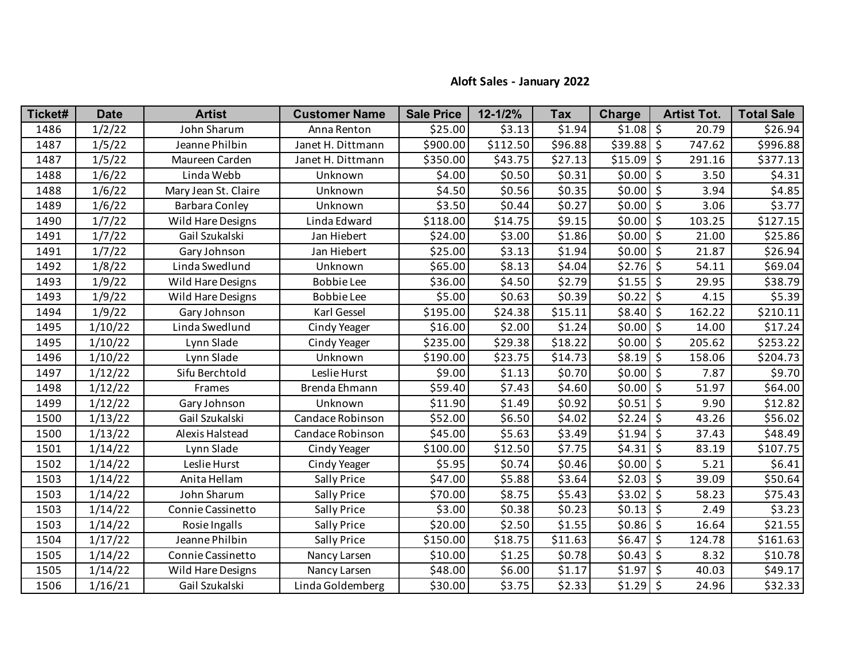## **Aloft Sales - January 2022**

| Ticket# | <b>Date</b> | <b>Artist</b>         | <b>Customer Name</b> | <b>Sale Price</b> | 12-1/2%  | <b>Tax</b> | <b>Charge</b> | <b>Artist Tot.</b>         | <b>Total Sale</b> |
|---------|-------------|-----------------------|----------------------|-------------------|----------|------------|---------------|----------------------------|-------------------|
| 1486    | 1/2/22      | John Sharum           | Anna Renton          | \$25.00           | \$3.13   | \$1.94     | \$1.08        | \$<br>20.79                | \$26.94           |
| 1487    | 1/5/22      | Jeanne Philbin        | Janet H. Dittmann    | \$900.00          | \$112.50 | \$96.88    | \$39.88       | \$<br>747.62               | \$996.88          |
| 1487    | 1/5/22      | Maureen Carden        | Janet H. Dittmann    | \$350.00          | \$43.75  | \$27.13    | \$15.09       | \$<br>291.16               | \$377.13          |
| 1488    | 1/6/22      | Linda Webb            | Unknown              | \$4.00            | \$0.50   | \$0.31     | \$0.00        | \$<br>3.50                 | \$4.31            |
| 1488    | 1/6/22      | Mary Jean St. Claire  | Unknown              | \$4.50            | \$0.56   | \$0.35     | \$0.00        | \$<br>3.94                 | \$4.85            |
| 1489    | 1/6/22      | <b>Barbara Conley</b> | Unknown              | \$3.50            | \$0.44   | \$0.27     | \$0.00        | $\ddot{\varsigma}$<br>3.06 | \$3.77            |
| 1490    | 1/7/22      | Wild Hare Designs     | Linda Edward         | \$118.00          | \$14.75  | \$9.15     | \$0.00        | \$<br>103.25               | \$127.15          |
| 1491    | 1/7/22      | Gail Szukalski        | Jan Hiebert          | \$24.00           | \$3.00   | \$1.86     | \$0.00        | \$<br>21.00                | \$25.86           |
| 1491    | 1/7/22      | Gary Johnson          | Jan Hiebert          | \$25.00           | \$3.13   | \$1.94     | \$0.00        | $\zeta$<br>21.87           | \$26.94           |
| 1492    | 1/8/22      | Linda Swedlund        | Unknown              | \$65.00           | \$8.13   | \$4.04     | \$2.76        | \$<br>54.11                | \$69.04           |
| 1493    | 1/9/22      | Wild Hare Designs     | <b>Bobbie Lee</b>    | \$36.00           | \$4.50   | \$2.79     | \$1.55        | \$<br>29.95                | \$38.79           |
| 1493    | 1/9/22      | Wild Hare Designs     | <b>Bobbie Lee</b>    | \$5.00            | \$0.63   | \$0.39     | \$0.22        | \$<br>4.15                 | \$5.39            |
| 1494    | 1/9/22      | Gary Johnson          | Karl Gessel          | \$195.00          | \$24.38  | \$15.11    | \$8.40        | \$<br>162.22               | \$210.11          |
| 1495    | 1/10/22     | Linda Swedlund        | Cindy Yeager         | \$16.00           | \$2.00   | \$1.24     | \$0.00        | \$<br>14.00                | \$17.24           |
| 1495    | 1/10/22     | Lynn Slade            | Cindy Yeager         | \$235.00          | \$29.38  | \$18.22    | \$0.00        | \$<br>205.62               | \$253.22          |
| 1496    | 1/10/22     | Lynn Slade            | Unknown              | \$190.00          | \$23.75  | \$14.73    | \$8.19        | \$<br>158.06               | \$204.73          |
| 1497    | 1/12/22     | Sifu Berchtold        | Leslie Hurst         | \$9.00            | \$1.13   | \$0.70     | \$0.00        | \$<br>7.87                 | \$9.70            |
| 1498    | 1/12/22     | Frames                | Brenda Ehmann        | \$59.40           | \$7.43   | \$4.60     | \$0.00        | \$<br>51.97                | \$64.00           |
| 1499    | 1/12/22     | Gary Johnson          | Unknown              | \$11.90           | \$1.49   | \$0.92     | \$0.51        | \$<br>9.90                 | \$12.82           |
| 1500    | 1/13/22     | Gail Szukalski        | Candace Robinson     | \$52.00           | \$6.50   | \$4.02     | \$2.24        | \$<br>43.26                | \$56.02           |
| 1500    | 1/13/22     | Alexis Halstead       | Candace Robinson     | \$45.00           | \$5.63   | \$3.49     | \$1.94        | \$<br>37.43                | \$48.49           |
| 1501    | 1/14/22     | Lynn Slade            | Cindy Yeager         | \$100.00          | \$12.50  | \$7.75     | \$4.31        | \$<br>83.19                | \$107.75          |
| 1502    | 1/14/22     | Leslie Hurst          | Cindy Yeager         | \$5.95            | \$0.74   | \$0.46     | \$0.00        | \$<br>5.21                 | \$6.41            |
| 1503    | 1/14/22     | Anita Hellam          | Sally Price          | \$47.00           | \$5.88   | \$3.64     | \$2.03        | \$<br>39.09                | \$50.64           |
| 1503    | 1/14/22     | John Sharum           | Sally Price          | \$70.00           | \$8.75   | \$5.43     | \$3.02        | \$<br>58.23                | \$75.43           |
| 1503    | 1/14/22     | Connie Cassinetto     | Sally Price          | \$3.00            | \$0.38   | \$0.23     | \$0.13        | \$<br>2.49                 | \$3.23            |
| 1503    | 1/14/22     | Rosie Ingalls         | Sally Price          | \$20.00           | \$2.50   | \$1.55     | \$0.86        | \$<br>16.64                | \$21.55           |
| 1504    | 1/17/22     | Jeanne Philbin        | Sally Price          | \$150.00          | \$18.75  | \$11.63    | \$6.47        | \$<br>124.78               | \$161.63          |
| 1505    | 1/14/22     | Connie Cassinetto     | Nancy Larsen         | \$10.00           | \$1.25   | \$0.78     | \$0.43        | \$<br>8.32                 | \$10.78           |
| 1505    | 1/14/22     | Wild Hare Designs     | Nancy Larsen         | \$48.00           | \$6.00   | \$1.17     | \$1.97        | $\zeta$<br>40.03           | \$49.17           |
| 1506    | 1/16/21     | Gail Szukalski        | Linda Goldemberg     | \$30.00           | \$3.75   | \$2.33     | $$1.29$ \$    | 24.96                      | \$32.33           |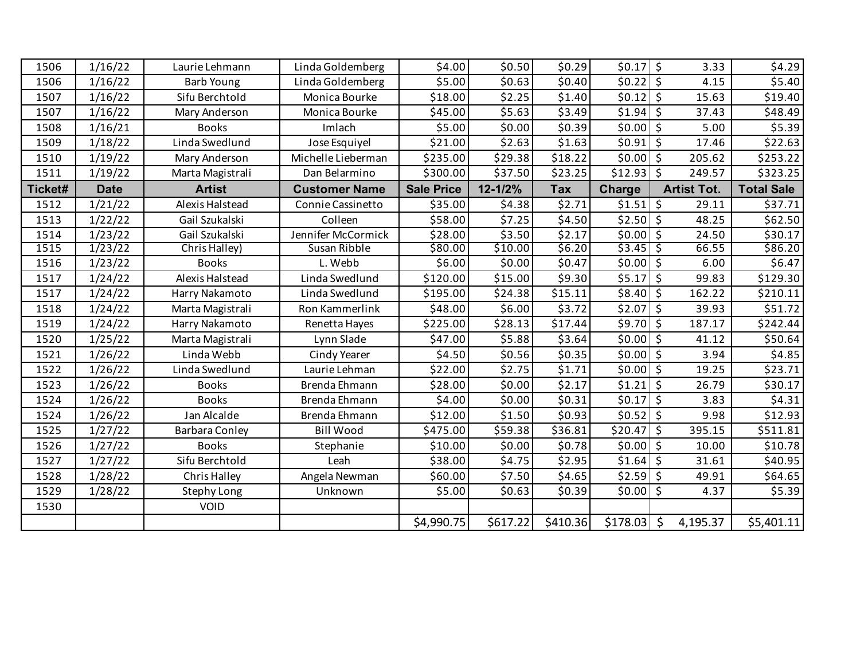| 1506    | 1/16/22     | Laurie Lehmann        | Linda Goldemberg     | \$4.00            | \$0.50   | \$0.29     | $$0.17$ \$    | 3.33                         | \$4.29            |
|---------|-------------|-----------------------|----------------------|-------------------|----------|------------|---------------|------------------------------|-------------------|
| 1506    | 1/16/22     | <b>Barb Young</b>     | Linda Goldemberg     | \$5.00            | \$0.63   | \$0.40     | \$0.22        | $\ddot{\mathsf{s}}$<br>4.15  | \$5.40            |
| 1507    | 1/16/22     | Sifu Berchtold        | Monica Bourke        | \$18.00           | \$2.25   | \$1.40     | \$0.12        | \$<br>15.63                  | \$19.40           |
| 1507    | 1/16/22     | Mary Anderson         | Monica Bourke        | \$45.00           | \$5.63   | \$3.49     | \$1.94        | $\zeta$<br>37.43             | \$48.49           |
| 1508    | 1/16/21     | <b>Books</b>          | Imlach               | \$5.00            | \$0.00   | \$0.39     | \$0.00        | $\zeta$<br>5.00              | \$5.39            |
| 1509    | 1/18/22     | Linda Swedlund        | Jose Esquiyel        | \$21.00           | \$2.63   | \$1.63     | \$0.91        | $\zeta$<br>17.46             | \$22.63           |
| 1510    | 1/19/22     | Mary Anderson         | Michelle Lieberman   | \$235.00          | \$29.38  | \$18.22    | \$0.00        | $\zeta$<br>205.62            | \$253.22          |
| 1511    | 1/19/22     | Marta Magistrali      | Dan Belarmino        | \$300.00          | \$37.50  | \$23.25    | \$12.93       | \$<br>249.57                 | \$323.25          |
| Ticket# | <b>Date</b> | <b>Artist</b>         | <b>Customer Name</b> | <b>Sale Price</b> | 12-1/2%  | <b>Tax</b> | <b>Charge</b> | <b>Artist Tot.</b>           | <b>Total Sale</b> |
| 1512    | 1/21/22     | Alexis Halstead       | Connie Cassinetto    | \$35.00           | \$4.38   | \$2.71     | \$1.51        | \$<br>29.11                  | \$37.71           |
| 1513    | 1/22/22     | Gail Szukalski        | Colleen              | \$58.00           | \$7.25   | \$4.50     | \$2.50        | $\ddot{\mathsf{S}}$<br>48.25 | \$62.50           |
| 1514    | 1/23/22     | Gail Szukalski        | Jennifer McCormick   | \$28.00           | \$3.50   | \$2.17     | \$0.00        | $\zeta$<br>24.50             | \$30.17           |
| 1515    | 1/23/22     | Chris Halley)         | Susan Ribble         | \$80.00           | \$10.00  | 56.20      | \$3.45        | ्<br>66.55                   | \$86.20           |
| 1516    | 1/23/22     | <b>Books</b>          | L. Webb              | \$6.00            | \$0.00   | \$0.47     | $$0.00$ \$    | 6.00                         | \$6.47            |
| 1517    | 1/24/22     | Alexis Halstead       | Linda Swedlund       | \$120.00          | \$15.00  | \$9.30     | \$5.17        | $\zeta$<br>99.83             | \$129.30          |
| 1517    | 1/24/22     | Harry Nakamoto        | Linda Swedlund       | \$195.00          | \$24.38  | \$15.11    | \$8.40        | \$<br>162.22                 | \$210.11          |
| 1518    | 1/24/22     | Marta Magistrali      | Ron Kammerlink       | \$48.00           | \$6.00   | \$3.72     | \$2.07        | $\zeta$<br>39.93             | \$51.72           |
| 1519    | 1/24/22     | Harry Nakamoto        | Renetta Hayes        | \$225.00          | \$28.13  | \$17.44    | \$9.70        | \$<br>187.17                 | \$242.44]         |
| 1520    | 1/25/22     | Marta Magistrali      | Lynn Slade           | \$47.00           | \$5.88   | \$3.64     | \$0.00        | $\ddot{\mathsf{S}}$<br>41.12 | \$50.64           |
| 1521    | 1/26/22     | Linda Webb            | Cindy Yearer         | \$4.50            | \$0.56   | \$0.35     | \$0.00        | $\zeta$<br>3.94              | \$4.85            |
| 1522    | 1/26/22     | Linda Swedlund        | Laurie Lehman        | \$22.00           | \$2.75   | \$1.71     | \$0.00        | \$<br>19.25                  | \$23.71           |
| 1523    | 1/26/22     | <b>Books</b>          | Brenda Ehmann        | \$28.00           | \$0.00   | \$2.17     | \$1.21        | $\zeta$<br>26.79             | \$30.17           |
| 1524    | 1/26/22     | <b>Books</b>          | Brenda Ehmann        | \$4.00            | \$0.00   | \$0.31     | \$0.17        | $\ddot{\varsigma}$<br>3.83   | \$4.31            |
| 1524    | 1/26/22     | Jan Alcalde           | Brenda Ehmann        | \$12.00           | \$1.50   | \$0.93     | $$0.52$ \$    | 9.98                         | \$12.93           |
| 1525    | 1/27/22     | <b>Barbara Conley</b> | <b>Bill Wood</b>     | \$475.00          | \$59.38  | \$36.81    | \$20.47       | $\zeta$<br>395.15            | \$511.81          |
| 1526    | 1/27/22     | <b>Books</b>          | Stephanie            | \$10.00           | \$0.00   | \$0.78     | \$0.00        | \$<br>10.00                  | \$10.78           |
| 1527    | 1/27/22     | Sifu Berchtold        | Leah                 | \$38.00           | \$4.75   | \$2.95     | \$1.64        | $\ddot{\varsigma}$<br>31.61  | \$40.95           |
| 1528    | 1/28/22     | Chris Halley          | Angela Newman        | \$60.00           | \$7.50   | \$4.65     | \$2.59        | \$<br>49.91                  | \$64.65           |
| 1529    | 1/28/22     | <b>Stephy Long</b>    | Unknown              | \$5.00            | \$0.63   | \$0.39     | $$0.00$ \$    | 4.37                         | \$5.39            |
| 1530    |             | VOID                  |                      |                   |          |            |               |                              |                   |
|         |             |                       |                      | \$4,990.75        | \$617.22 | \$410.36   | \$178.03      | $\zeta$<br>4,195.37          | \$5,401.11        |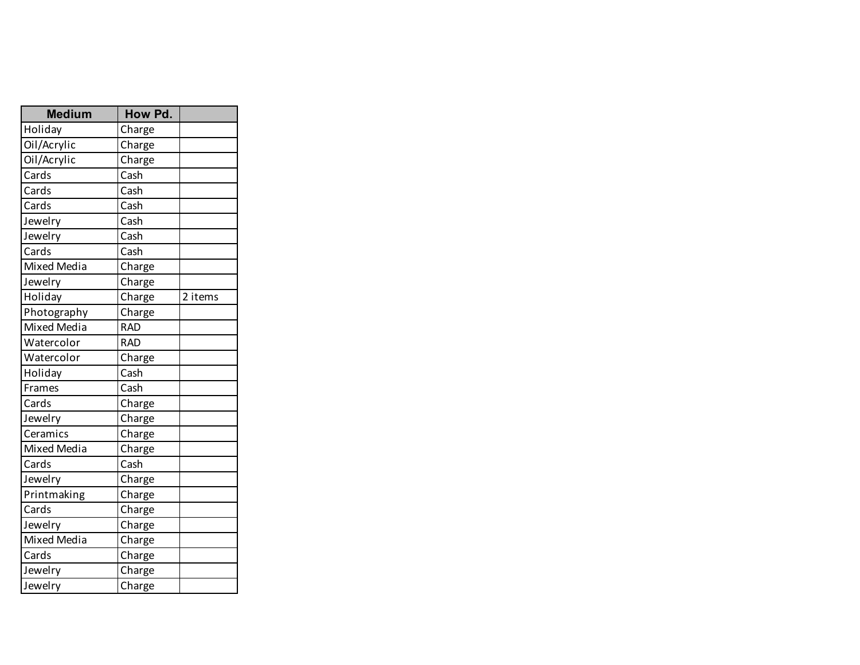| <b>Medium</b>                | How Pd.                     |         |
|------------------------------|-----------------------------|---------|
| Holiday                      | Charge                      |         |
| Oil/Acrylic                  | Charge                      |         |
| Oil/Acrylic                  | Charge                      |         |
| Cards                        | Cash                        |         |
| $\overline{\mathsf{C}}$ ards | Cash                        |         |
| Cards                        | Cash                        |         |
| Jewelry                      | Cash                        |         |
| Jewelry                      | Cash                        |         |
| Cards                        | Cash                        |         |
| <b>Mixed Media</b>           | Charge                      |         |
| Jewelry                      | Charge                      |         |
| Holiday                      | Charge                      | 2 items |
| Photography                  | Charge                      |         |
| <b>Mixed Media</b>           | <b>RAD</b>                  |         |
| Watercolor                   | <b>RAD</b>                  |         |
| Watercolor                   | Charge                      |         |
| Holiday                      | Cash                        |         |
| Frames                       | Cash                        |         |
| Cards                        | Charge                      |         |
| Jewelry                      | Charge                      |         |
| Ceramics                     | Charge                      |         |
| <b>Mixed Media</b>           | Charge                      |         |
| Cards                        | $\overline{\mathsf{C}}$ ash |         |
| Jewelry                      | Charge                      |         |
| Printmaking                  | Charge                      |         |
| Cards                        | Charge                      |         |
| Jewelry                      | Charge                      |         |
| Mixed Media                  | Charge                      |         |
| Cards                        | Charge                      |         |
| Jewelry                      | Charge                      |         |
| Jewelry                      | Charge                      |         |